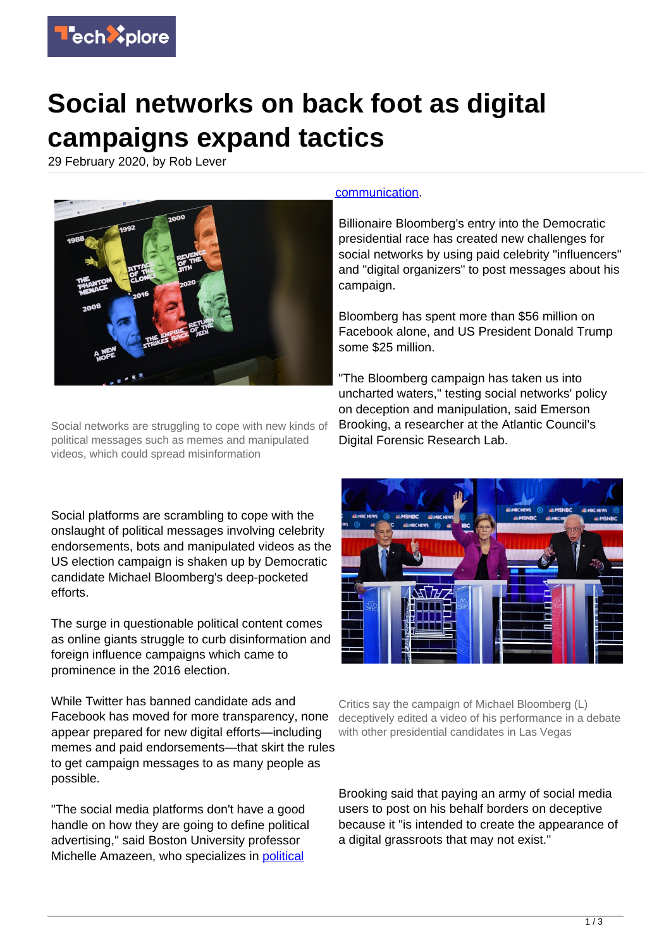

## **Social networks on back foot as digital campaigns expand tactics**

29 February 2020, by Rob Lever



Social networks are struggling to cope with new kinds of political messages such as memes and manipulated videos, which could spread misinformation

Social platforms are scrambling to cope with the onslaught of political messages involving celebrity endorsements, bots and manipulated videos as the US election campaign is shaken up by Democratic candidate Michael Bloomberg's deep-pocketed efforts.

The surge in questionable political content comes as online giants struggle to curb disinformation and foreign influence campaigns which came to prominence in the 2016 election.

While Twitter has banned candidate ads and Facebook has moved for more transparency, none appear prepared for new digital efforts—including memes and paid endorsements—that skirt the rules to get campaign messages to as many people as possible.

"The social media platforms don't have a good handle on how they are going to define political advertising," said Boston University professor Michelle Amazeen, who specializes in [political](https://techxplore.com/tags/political+communication/)

## [communication.](https://techxplore.com/tags/political+communication/)

Billionaire Bloomberg's entry into the Democratic presidential race has created new challenges for social networks by using paid celebrity "influencers" and "digital organizers" to post messages about his campaign.

Bloomberg has spent more than \$56 million on Facebook alone, and US President Donald Trump some \$25 million.

"The Bloomberg campaign has taken us into uncharted waters," testing social networks' policy on deception and manipulation, said Emerson Brooking, a researcher at the Atlantic Council's Digital Forensic Research Lab.



Critics say the campaign of Michael Bloomberg (L) deceptively edited a video of his performance in a debate with other presidential candidates in Las Vegas

Brooking said that paying an army of social media users to post on his behalf borders on deceptive because it "is intended to create the appearance of a digital grassroots that may not exist."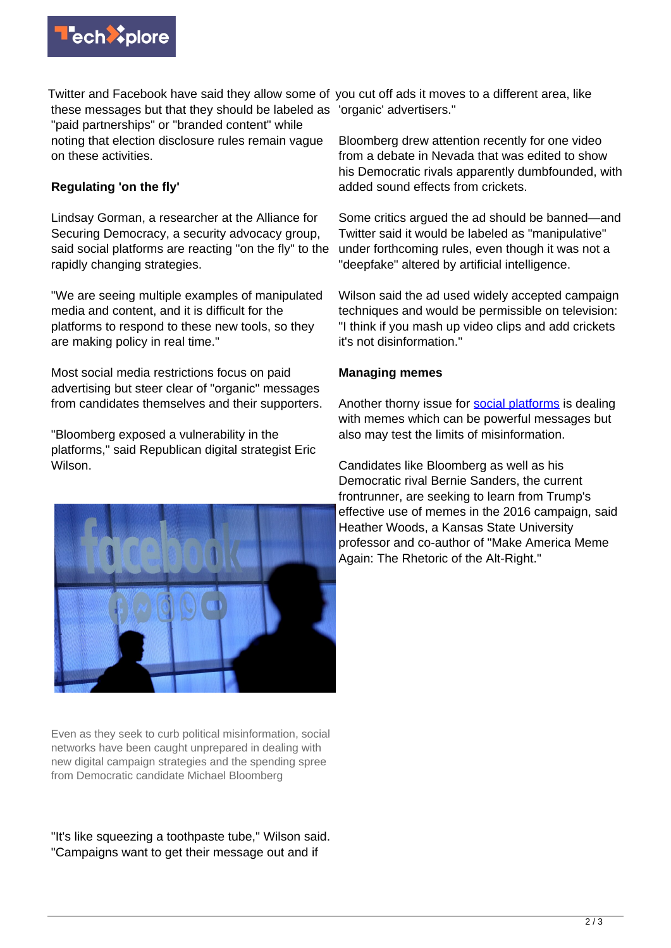

Twitter and Facebook have said they allow some of you cut off ads it moves to a different area, like these messages but that they should be labeled as 'organic' advertisers." "paid partnerships" or "branded content" while noting that election disclosure rules remain vague on these activities.

## **Regulating 'on the fly'**

Lindsay Gorman, a researcher at the Alliance for Securing Democracy, a security advocacy group, said social platforms are reacting "on the fly" to the rapidly changing strategies.

"We are seeing multiple examples of manipulated media and content, and it is difficult for the platforms to respond to these new tools, so they are making policy in real time."

Most social media restrictions focus on paid advertising but steer clear of "organic" messages from candidates themselves and their supporters.

"Bloomberg exposed a vulnerability in the platforms," said Republican digital strategist Eric Wilson.



Even as they seek to curb political misinformation, social networks have been caught unprepared in dealing with new digital campaign strategies and the spending spree from Democratic candidate Michael Bloomberg

"It's like squeezing a toothpaste tube," Wilson said. "Campaigns want to get their message out and if

Bloomberg drew attention recently for one video from a debate in Nevada that was edited to show his Democratic rivals apparently dumbfounded, with added sound effects from crickets.

Some critics argued the ad should be banned—and Twitter said it would be labeled as "manipulative" under forthcoming rules, even though it was not a "deepfake" altered by artificial intelligence.

Wilson said the ad used widely accepted campaign techniques and would be permissible on television: "I think if you mash up video clips and add crickets it's not disinformation."

## **Managing memes**

Another thorny issue for [social platforms](https://techxplore.com/tags/social+platforms/) is dealing with memes which can be powerful messages but also may test the limits of misinformation.

Candidates like Bloomberg as well as his Democratic rival Bernie Sanders, the current frontrunner, are seeking to learn from Trump's effective use of memes in the 2016 campaign, said Heather Woods, a Kansas State University professor and co-author of "Make America Meme Again: The Rhetoric of the Alt-Right."